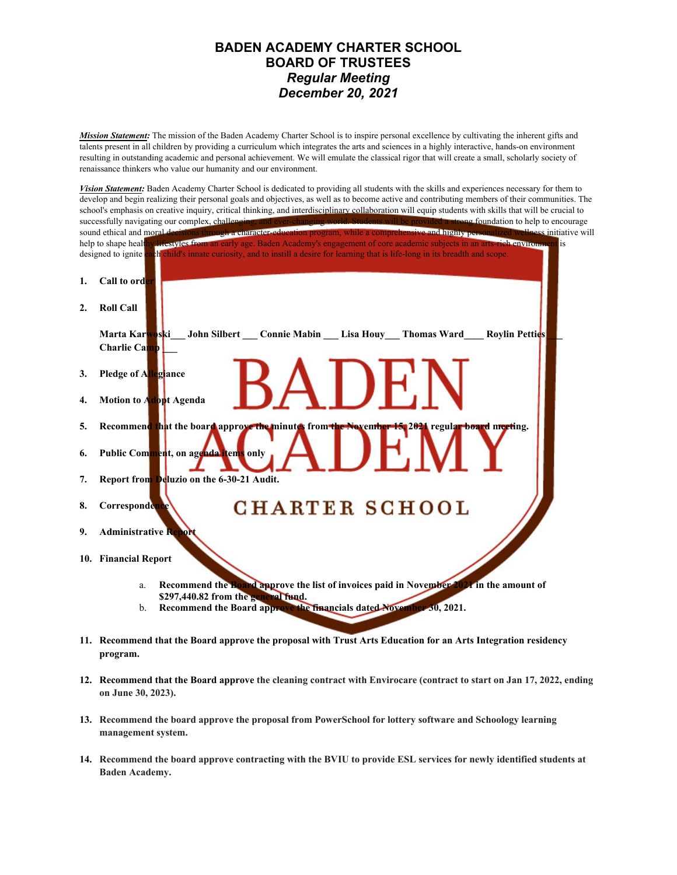## **BADEN ACADEMY CHARTER SCHOOL BOARD OF TRUSTEES** *Regular Meeting December 20, 2021*

*Mission Statement:* The mission of the Baden Academy Charter School is to inspire personal excellence by cultivating the inherent gifts and talents present in all children by providing a curriculum which integrates the arts and sciences in a highly interactive, hands-on environment resulting in outstanding academic and personal achievement. We will emulate the classical rigor that will create a small, scholarly society of renaissance thinkers who value our humanity and our environment.



- **12. Recommend that the Board approve the cleaning contract with Envirocare (contract to start on Jan 17, 2022, ending on June 30, 2023).**
- **13. Recommend the board approve the proposal from PowerSchool for lottery software and Schoology learning management system.**
- **14. Recommend the board approve contracting with the BVIU to provide ESL services for newly identified students at Baden Academy.**